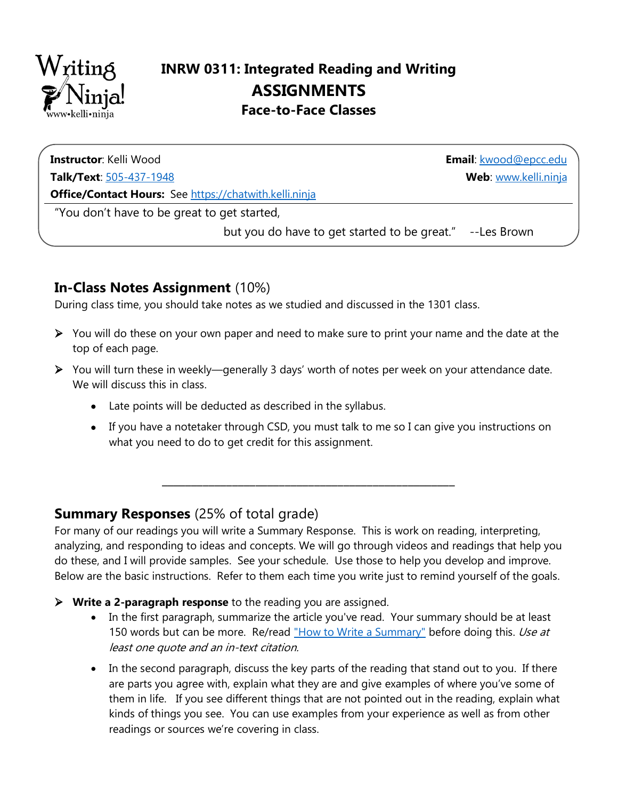

# **INRW 0311: Integrated Reading and Writing ASSIGNMENTS Face-to-Face Classes**

**Contac**

### **Instructor**: Kelli Wood

**Talk/Text**: [505-437-1948](tel:5054371948) 

**Email**: [kwood@epcc.edu](mailto:kwood@epcc.edu)  **Web**: [www.kelli.ninja](https://www.kelli.ninja/)

**Office/Contact Hours:** See [https://chatwith.kelli.ninja](https://kelli.ninja/chatwith.html) 

"You don't have to be great to get started,

but you do have to get started to be great." --Les Brown

## **In-Class Notes Assignment** (10%)

During class time, you should take notes as we studied and discussed in the 1301 class.

- ➢ You will do these on your own paper and need to make sure to print your name and the date at the top of each page.
- ➢ You will turn these in weekly—generally 3 days' worth of notes per week on your attendance date. We will discuss this in class.
	- Late points will be deducted as described in the syllabus.
	- If you have a notetaker through CSD, you must talk to me so I can give you instructions on what you need to do to get credit for this assignment.

## **Summary Responses** (25% of total grade)

For many of our readings you will write a Summary Response. This is work on reading, interpreting, analyzing, and responding to ideas and concepts. We will go through videos and readings that help you do these, and I will provide samples. See your schedule. Use those to help you develop and improve. Below are the basic instructions. Refer to them each time you write just to remind yourself of the goals.

**\_\_\_\_\_\_\_\_\_\_\_\_\_\_\_\_\_\_\_\_\_\_\_\_\_\_\_\_\_\_\_\_\_\_\_\_\_\_\_\_\_\_\_\_\_\_\_\_\_\_**

### ➢ **Write a 2-paragraph response** to the reading you are assigned.

- In the first paragraph, summarize the article you've read. Your summary should be at least 150 words but can be more. Re/read ["How to Write a Summary"](http://kelli.ninja/1302/research/How%20to%20Write%20a%20Summary%20Mejia%20adaptation.pdf) before doing this. Use at least one quote and an in-text citation.
- In the second paragraph, discuss the key parts of the reading that stand out to you. If there are parts you agree with, explain what they are and give examples of where you've some of them in life. If you see different things that are not pointed out in the reading, explain what kinds of things you see. You can use examples from your experience as well as from other readings or sources we're covering in class.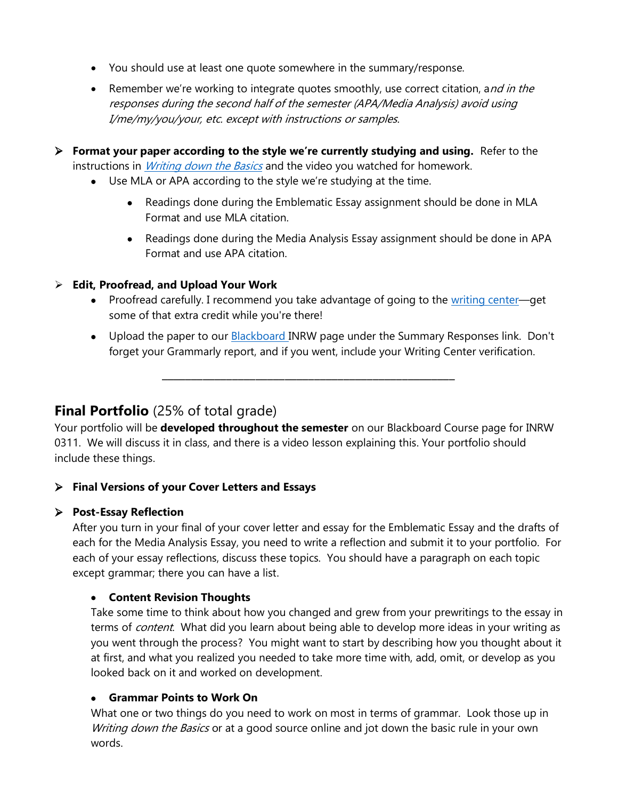- You should use at least one quote somewhere in the summary/response.
- Remember we're working to integrate quotes smoothly, use correct citation, and in the responses during the second half of the semester (APA/Media Analysis) avoid using I/me/my/you/your, etc. except with instructions or samples.

➢ **Format your paper according to the style we're currently studying and using.** Refer to the instructions in *[Writing down the Basics](http://kelli.ninja/Writing_down_the_Basics.pdf)* and the video you watched for homework.

- Use MLA or APA according to the style we're studying at the time.
	- Readings done during the Emblematic Essay assignment should be done in MLA Format and use MLA citation.
	- Readings done during the Media Analysis Essay assignment should be done in APA Format and use APA citation.

#### ➢ **Edit, Proofread, and Upload Your Work**

- Proofread carefully. I recommend you take advantage of going to the [writing center](http://kelli.ninja/misc/Going%20to%20the%20Online%20Writing%20Center.pdf)—get some of that extra credit while you're there!
- Upload the paper to our **Blackboard** INRW page under the Summary Responses link. Don't forget your Grammarly report, and if you went, include your Writing Center verification.

### **Final Portfolio** (25% of total grade)

Your portfolio will be **developed throughout the semester** on our Blackboard Course page for INRW 0311. We will discuss it in class, and there is a video lesson explaining this. Your portfolio should include these things.

**\_\_\_\_\_\_\_\_\_\_\_\_\_\_\_\_\_\_\_\_\_\_\_\_\_\_\_\_\_\_\_\_\_\_\_\_\_\_\_\_\_\_\_\_\_\_\_\_\_\_**

#### ➢ **Final Versions of your Cover Letters and Essays**

#### ➢ **Post-Essay Reflection**

After you turn in your final of your cover letter and essay for the Emblematic Essay and the drafts of each for the Media Analysis Essay, you need to write a reflection and submit it to your portfolio. For each of your essay reflections, discuss these topics. You should have a paragraph on each topic except grammar; there you can have a list.

#### • **Content Revision Thoughts**

Take some time to think about how you changed and grew from your prewritings to the essay in terms of *content*. What did you learn about being able to develop more ideas in your writing as you went through the process? You might want to start by describing how you thought about it at first, and what you realized you needed to take more time with, add, omit, or develop as you looked back on it and worked on development.

#### • **Grammar Points to Work On**

What one or two things do you need to work on most in terms of grammar. Look those up in Writing down the Basics or at a good source online and jot down the basic rule in your own words.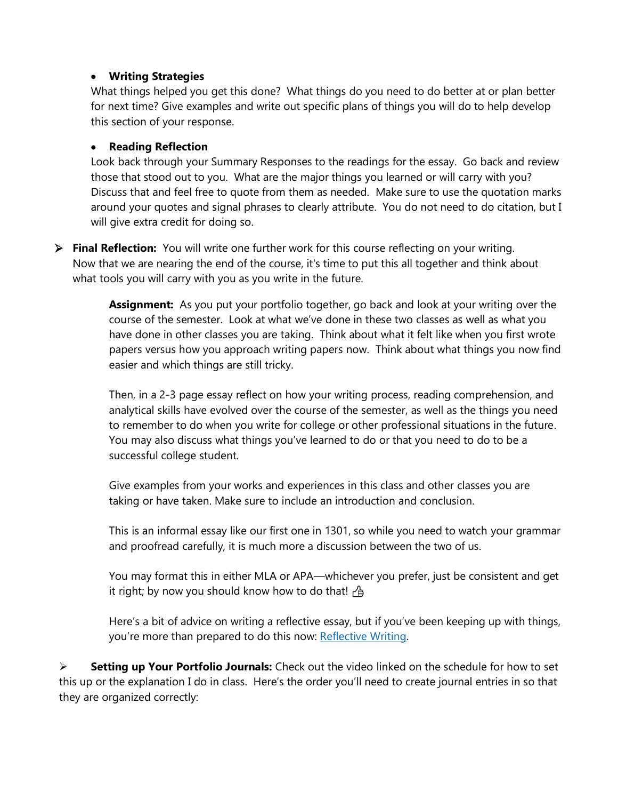#### • **Writing Strategies**

What things helped you get this done? What things do you need to do better at or plan better for next time? Give examples and write out specific plans of things you will do to help develop this section of your response.

#### • **Reading Reflection**

Look back through your Summary Responses to the readings for the essay. Go back and review those that stood out to you. What are the major things you learned or will carry with you? Discuss that and feel free to quote from them as needed. Make sure to use the quotation marks around your quotes and signal phrases to clearly attribute. You do not need to do citation, but I will give extra credit for doing so.

#### ➢ **Final Reflection:** You will write one further work for this course reflecting on your writing. Now that we are nearing the end of the course, it's time to put this all together and think about what tools you will carry with you as you write in the future.

**Assignment:** As you put your portfolio together, go back and look at your writing over the course of the semester. Look at what we've done in these two classes as well as what you have done in other classes you are taking. Think about what it felt like when you first wrote papers versus how you approach writing papers now. Think about what things you now find easier and which things are still tricky.

Then, in a 2-3 page essay reflect on how your writing process, reading comprehension, and analytical skills have evolved over the course of the semester, as well as the things you need to remember to do when you write for college or other professional situations in the future. You may also discuss what things you've learned to do or that you need to do to be a successful college student.

Give examples from your works and experiences in this class and other classes you are taking or have taken. Make sure to include an introduction and conclusion.

This is an informal essay like our first one in 1301, so while you need to watch your grammar and proofread carefully, it is much more a discussion between the two of us.

You may format this in either MLA or APA—whichever you prefer, just be consistent and get it right; by now you should know how to do that!  $\triangleq$ 

Here's a bit of advice on writing a reflective essay, but if you've been keeping up with things, you're more than prepared to do this now: [Reflective Writing.](https://www.nottingham.ac.uk/studyingeffectively/writing/writingtasks/reflective.aspx)

➢ **Setting up Your Portfolio Journals:** Check out the video linked on the schedule for how to set this up or the explanation I do in class. Here's the order you'll need to create journal entries in so that they are organized correctly: